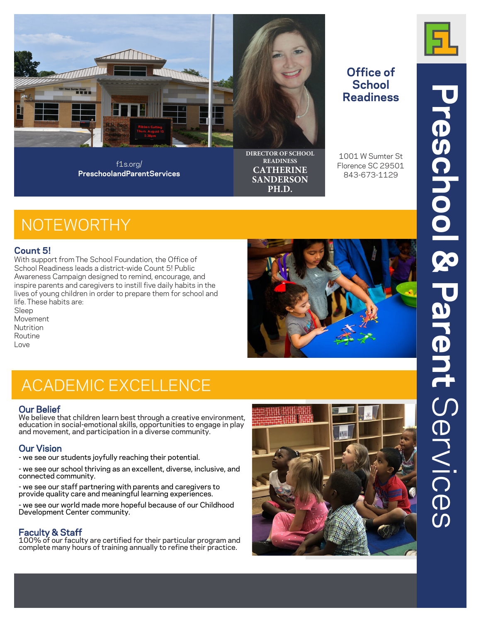

f1s.org/ **PreschoolandParentServices**

## **Office of School**

**DIRECTOR OF SCHOOL READINESS CATHERINE SANDERSON PH.D.**

# **Readiness**

1001 W Sumter St Florence SC 29501 843-673-1129

### **NOTEWORTHY**

#### **Count 5!**

With support from The School Foundation, the Office of School Readiness leads a district-wide Count 5! Public Awareness Campaign designed to remind, encourage, and inspire parents and caregivers to instill five daily habits in the lives of young children in order to prepare them for school and life. These habits are:

Sleep Movement Nutrition Routine Love



### ACADEMIC EXCELLENCE

**Our Belief**<br>We believe that children learn best through a creative environment, education in social-emotional skills, opportunities to engage in play and movement, and participation in a diverse community.

### **Our Vision**

- we see our students joyfully reaching their potential.

- we see our school thriving as an excellent, diverse, inclusive, and connected community.

- we see our staff partnering with parents and caregivers to provide quality care and meaningful learning experiences.

- we see our world made more hopeful because of our Childhood Development Center community.

### **Faculty & Staff**

100% of our faculty are certified for their particular program and complete many hours of training annually to refine their practice.